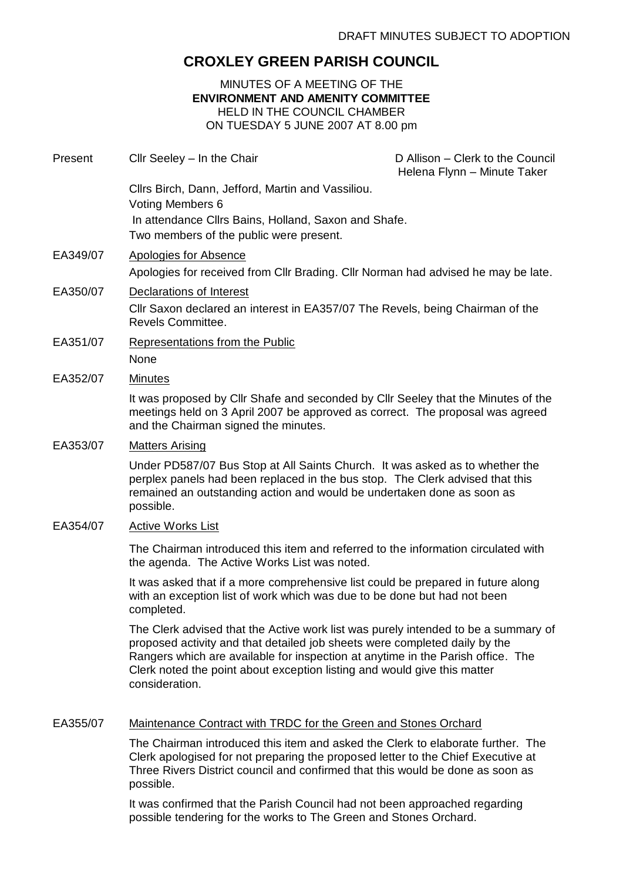# **CROXLEY GREEN PARISH COUNCIL**

# MINUTES OF A MEETING OF THE **ENVIRONMENT AND AMENITY COMMITTEE** HELD IN THE COUNCIL CHAMBER ON TUESDAY 5 JUNE 2007 AT 8.00 pm

| Present  | Cllr Seeley - In the Chair                                                                                                                                                                                                                                                                                                                        | D Allison - Clerk to the Council<br>Helena Flynn - Minute Taker |
|----------|---------------------------------------------------------------------------------------------------------------------------------------------------------------------------------------------------------------------------------------------------------------------------------------------------------------------------------------------------|-----------------------------------------------------------------|
|          | Cllrs Birch, Dann, Jefford, Martin and Vassiliou.<br><b>Voting Members 6</b><br>In attendance Cllrs Bains, Holland, Saxon and Shafe.<br>Two members of the public were present.                                                                                                                                                                   |                                                                 |
| EA349/07 | Apologies for Absence<br>Apologies for received from Cllr Brading. Cllr Norman had advised he may be late.                                                                                                                                                                                                                                        |                                                                 |
| EA350/07 | Declarations of Interest<br>Cllr Saxon declared an interest in EA357/07 The Revels, being Chairman of the<br>Revels Committee.                                                                                                                                                                                                                    |                                                                 |
| EA351/07 | <b>Representations from the Public</b><br>None                                                                                                                                                                                                                                                                                                    |                                                                 |
| EA352/07 | <b>Minutes</b>                                                                                                                                                                                                                                                                                                                                    |                                                                 |
|          | It was proposed by Cllr Shafe and seconded by Cllr Seeley that the Minutes of the<br>meetings held on 3 April 2007 be approved as correct. The proposal was agreed<br>and the Chairman signed the minutes.                                                                                                                                        |                                                                 |
| EA353/07 | <b>Matters Arising</b>                                                                                                                                                                                                                                                                                                                            |                                                                 |
|          | Under PD587/07 Bus Stop at All Saints Church. It was asked as to whether the<br>perplex panels had been replaced in the bus stop. The Clerk advised that this<br>remained an outstanding action and would be undertaken done as soon as<br>possible.                                                                                              |                                                                 |
| EA354/07 | <b>Active Works List</b>                                                                                                                                                                                                                                                                                                                          |                                                                 |
|          | The Chairman introduced this item and referred to the information circulated with<br>the agenda. The Active Works List was noted.                                                                                                                                                                                                                 |                                                                 |
|          | It was asked that if a more comprehensive list could be prepared in future along<br>with an exception list of work which was due to be done but had not been<br>completed.                                                                                                                                                                        |                                                                 |
|          | The Clerk advised that the Active work list was purely intended to be a summary of<br>proposed activity and that detailed job sheets were completed daily by the<br>Rangers which are available for inspection at anytime in the Parish office. The<br>Clerk noted the point about exception listing and would give this matter<br>consideration. |                                                                 |
| EA355/07 | Maintenance Contract with TRDC for the Green and Stones Orchard                                                                                                                                                                                                                                                                                   |                                                                 |
|          | The Chairman introduced this item and asked the Clerk to elaborate further. The                                                                                                                                                                                                                                                                   |                                                                 |

Clerk apologised for not preparing the proposed letter to the Chief Executive at Three Rivers District council and confirmed that this would be done as soon as possible.

It was confirmed that the Parish Council had not been approached regarding possible tendering for the works to The Green and Stones Orchard.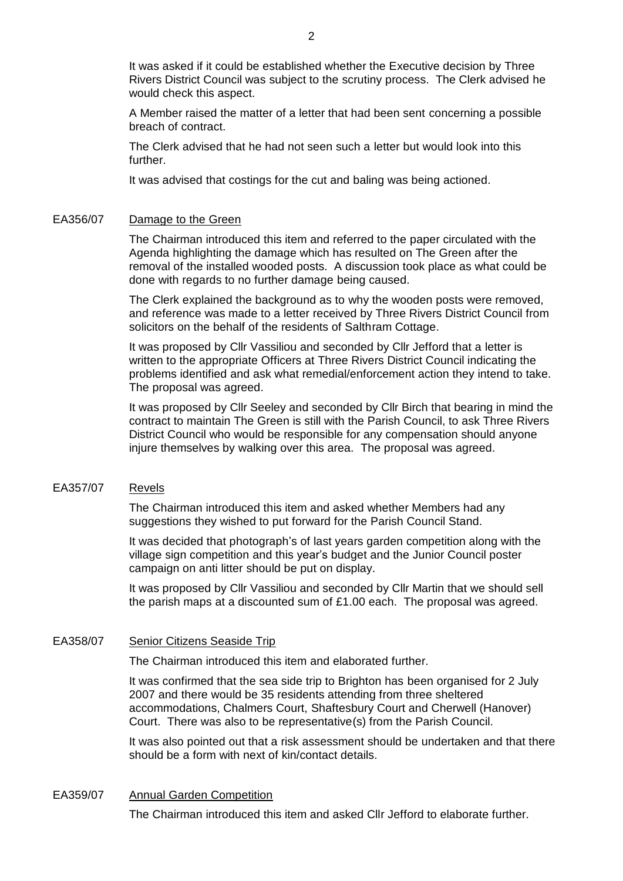It was asked if it could be established whether the Executive decision by Three Rivers District Council was subject to the scrutiny process. The Clerk advised he would check this aspect.

A Member raised the matter of a letter that had been sent concerning a possible breach of contract.

The Clerk advised that he had not seen such a letter but would look into this further.

It was advised that costings for the cut and baling was being actioned.

### EA356/07 Damage to the Green

The Chairman introduced this item and referred to the paper circulated with the Agenda highlighting the damage which has resulted on The Green after the removal of the installed wooded posts. A discussion took place as what could be done with regards to no further damage being caused.

The Clerk explained the background as to why the wooden posts were removed, and reference was made to a letter received by Three Rivers District Council from solicitors on the behalf of the residents of Salthram Cottage.

It was proposed by Cllr Vassiliou and seconded by Cllr Jefford that a letter is written to the appropriate Officers at Three Rivers District Council indicating the problems identified and ask what remedial/enforcement action they intend to take. The proposal was agreed.

It was proposed by Cllr Seeley and seconded by Cllr Birch that bearing in mind the contract to maintain The Green is still with the Parish Council, to ask Three Rivers District Council who would be responsible for any compensation should anyone injure themselves by walking over this area. The proposal was agreed.

### EA357/07 Revels

The Chairman introduced this item and asked whether Members had any suggestions they wished to put forward for the Parish Council Stand.

It was decided that photograph's of last years garden competition along with the village sign competition and this year's budget and the Junior Council poster campaign on anti litter should be put on display.

It was proposed by Cllr Vassiliou and seconded by Cllr Martin that we should sell the parish maps at a discounted sum of  $£1.00$  each. The proposal was agreed.

#### EA358/07 Senior Citizens Seaside Trip

The Chairman introduced this item and elaborated further.

It was confirmed that the sea side trip to Brighton has been organised for 2 July 2007 and there would be 35 residents attending from three sheltered accommodations, Chalmers Court, Shaftesbury Court and Cherwell (Hanover) Court. There was also to be representative(s) from the Parish Council.

It was also pointed out that a risk assessment should be undertaken and that there should be a form with next of kin/contact details.

### EA359/07 Annual Garden Competition

The Chairman introduced this item and asked Cllr Jefford to elaborate further.